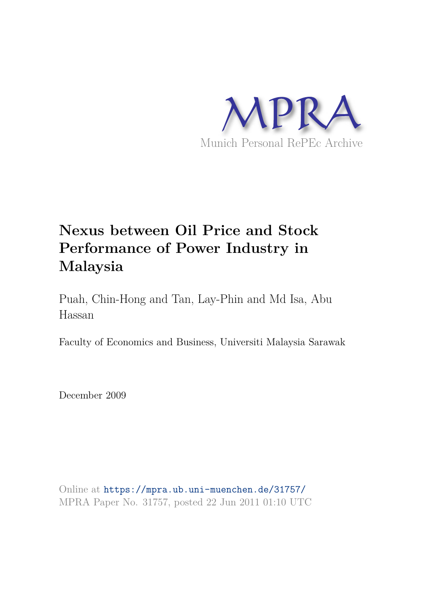

# **Nexus between Oil Price and Stock Performance of Power Industry in Malaysia**

Puah, Chin-Hong and Tan, Lay-Phin and Md Isa, Abu Hassan

Faculty of Economics and Business, Universiti Malaysia Sarawak

December 2009

Online at https://mpra.ub.uni-muenchen.de/31757/ MPRA Paper No. 31757, posted 22 Jun 2011 01:10 UTC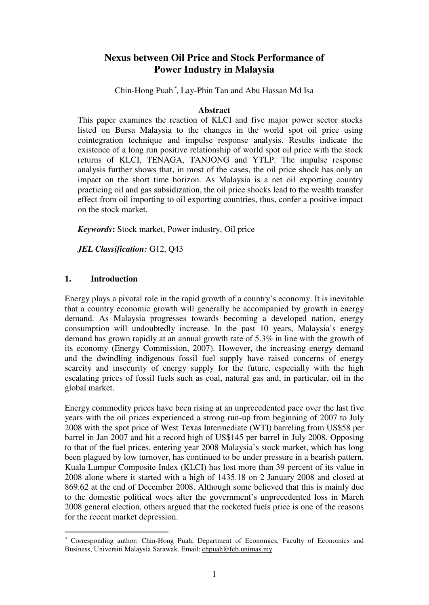# **Nexus between Oil Price and Stock Performance of Power Industry in Malaysia**

Chin-Hong Puah[∗](#page-1-0) , Lay-Phin Tan and Abu Hassan Md Isa

### **Abstract**

This paper examines the reaction of KLCI and five major power sector stocks listed on Bursa Malaysia to the changes in the world spot oil price using cointegration technique and impulse response analysis. Results indicate the existence of a long run positive relationship of world spot oil price with the stock returns of KLCI, TENAGA, TANJONG and YTLP. The impulse response analysis further shows that, in most of the cases, the oil price shock has only an impact on the short time horizon. As Malaysia is a net oil exporting country practicing oil and gas subsidization, the oil price shocks lead to the wealth transfer effect from oil importing to oil exporting countries, thus, confer a positive impact on the stock market.

*Keywords***:** Stock market, Power industry, Oil price

*JEL Classification:* G12, Q43

# **1. Introduction**

-

Energy plays a pivotal role in the rapid growth of a country's economy. It is inevitable that a country economic growth will generally be accompanied by growth in energy demand. As Malaysia progresses towards becoming a developed nation, energy consumption will undoubtedly increase. In the past 10 years, Malaysia's energy demand has grown rapidly at an annual growth rate of 5.3% in line with the growth of its economy (Energy Commission, 2007). However, the increasing energy demand and the dwindling indigenous fossil fuel supply have raised concerns of energy scarcity and insecurity of energy supply for the future, especially with the high escalating prices of fossil fuels such as coal, natural gas and, in particular, oil in the global market.

Energy commodity prices have been rising at an unprecedented pace over the last five years with the oil prices experienced a strong run-up from beginning of 2007 to July 2008 with the spot price of West Texas Intermediate (WTI) barreling from US\$58 per barrel in Jan 2007 and hit a record high of US\$145 per barrel in July 2008. Opposing to that of the fuel prices, entering year 2008 Malaysia's stock market, which has long been plagued by low turnover, has continued to be under pressure in a bearish pattern. Kuala Lumpur Composite Index (KLCI) has lost more than 39 percent of its value in 2008 alone where it started with a high of 1435.18 on 2 January 2008 and closed at 869.62 at the end of December 2008. Although some believed that this is mainly due to the domestic political woes after the government's unprecedented loss in March 2008 general election, others argued that the rocketed fuels price is one of the reasons for the recent market depression.

<span id="page-1-0"></span><sup>∗</sup> Corresponding author: Chin-Hong Puah, Department of Economics, Faculty of Economics and Business, Universiti Malaysia Sarawak. Email: chpuah@feb.unimas.my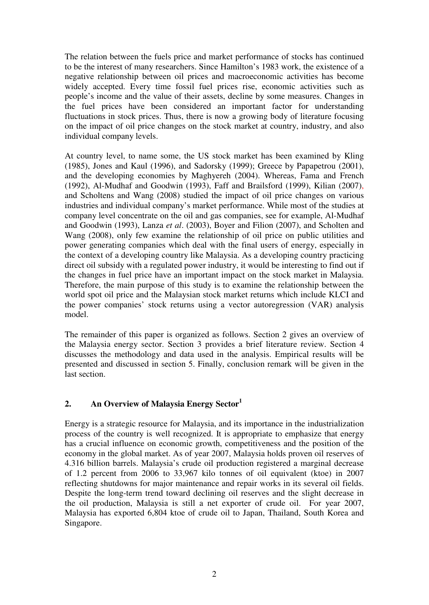The relation between the fuels price and market performance of stocks has continued to be the interest of many researchers. Since Hamilton's 1983 work, the existence of a negative relationship between oil prices and macroeconomic activities has become widely accepted. Every time fossil fuel prices rise, economic activities such as people's income and the value of their assets, decline by some measures. Changes in the fuel prices have been considered an important factor for understanding fluctuations in stock prices. Thus, there is now a growing body of literature focusing on the impact of oil price changes on the stock market at country, industry, and also individual company levels.

At country level, to name some, the US stock market has been examined by Kling (1985), Jones and Kaul (1996), and Sadorsky (1999); Greece by Papapetrou (2001), and the developing economies by Maghyereh (2004). Whereas, Fama and French (1992), Al-Mudhaf and Goodwin (1993), Faff and Brailsford (1999), Kilian (2007), and Scholtens and Wang (2008) studied the impact of oil price changes on various industries and individual company's market performance. While most of the studies at company level concentrate on the oil and gas companies, see for example, Al-Mudhaf and Goodwin (1993), Lanza *et al*. (2003), Boyer and Filion (2007), and Scholten and Wang (2008), only few examine the relationship of oil price on public utilities and power generating companies which deal with the final users of energy, especially in the context of a developing country like Malaysia. As a developing country practicing direct oil subsidy with a regulated power industry, it would be interesting to find out if the changes in fuel price have an important impact on the stock market in Malaysia. Therefore, the main purpose of this study is to examine the relationship between the world spot oil price and the Malaysian stock market returns which include KLCI and the power companies' stock returns using a vector autoregression (VAR) analysis model.

The remainder of this paper is organized as follows. Section 2 gives an overview of the Malaysia energy sector. Section 3 provides a brief literature review. Section 4 discusses the methodology and data used in the analysis. Empirical results will be presented and discussed in section 5. Finally, conclusion remark will be given in the last section.

# **2. An Overview of Malaysia Energy Sector<sup>1</sup>**

Energy is a strategic resource for Malaysia, and its importance in the industrialization process of the country is well recognized. It is appropriate to emphasize that energy has a crucial influence on economic growth, competitiveness and the position of the economy in the global market. As of year 2007, Malaysia holds proven oil reserves of 4.316 billion barrels. Malaysia's crude oil production registered a marginal decrease of 1.2 percent from 2006 to 33,967 kilo tonnes of oil equivalent (ktoe) in 2007 reflecting shutdowns for major maintenance and repair works in its several oil fields. Despite the long-term trend toward declining oil reserves and the slight decrease in the oil production, Malaysia is still a net exporter of crude oil. For year 2007, Malaysia has exported 6,804 ktoe of crude oil to Japan, Thailand, South Korea and Singapore.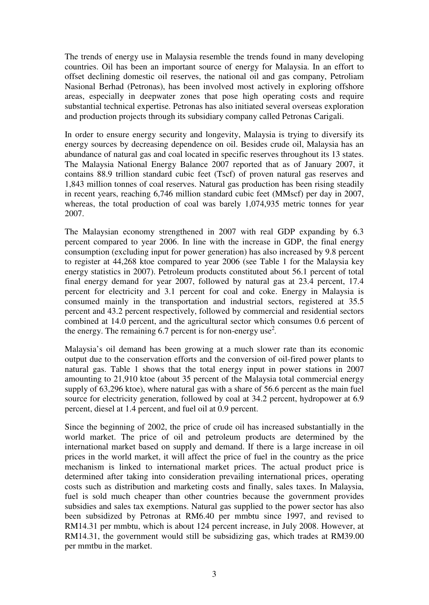The trends of energy use in Malaysia resemble the trends found in many developing countries. Oil has been an important source of energy for Malaysia. In an effort to offset declining domestic oil reserves, the national oil and gas company, Petroliam Nasional Berhad (Petronas), has been involved most actively in exploring offshore areas, especially in deepwater zones that pose high operating costs and require substantial technical expertise. Petronas has also initiated several overseas exploration and production projects through its subsidiary company called Petronas Carigali.

In order to ensure energy security and longevity, Malaysia is trying to diversify its energy sources by decreasing dependence on oil. Besides crude oil, Malaysia has an abundance of natural gas and coal located in specific reserves throughout its 13 states. The Malaysia National Energy Balance 2007 reported that as of January 2007, it contains 88.9 trillion standard cubic feet (Tscf) of proven natural gas reserves and 1,843 million tonnes of coal reserves. Natural gas production has been rising steadily in recent years, reaching 6,746 million standard cubic feet (MMscf) per day in 2007, whereas, the total production of coal was barely 1,074,935 metric tonnes for year 2007.

The Malaysian economy strengthened in 2007 with real GDP expanding by 6.3 percent compared to year 2006. In line with the increase in GDP, the final energy consumption (excluding input for power generation) has also increased by 9.8 percent to register at 44,268 ktoe compared to year 2006 (see Table 1 for the Malaysia key energy statistics in 2007). Petroleum products constituted about 56.1 percent of total final energy demand for year 2007, followed by natural gas at 23.4 percent, 17.4 percent for electricity and 3.1 percent for coal and coke. Energy in Malaysia is consumed mainly in the transportation and industrial sectors, registered at 35.5 percent and 43.2 percent respectively, followed by commercial and residential sectors combined at 14.0 percent, and the agricultural sector which consumes 0.6 percent of the energy. The remaining  $6.7$  percent is for non-energy use<sup>2</sup>.

Malaysia's oil demand has been growing at a much slower rate than its economic output due to the conservation efforts and the conversion of oil-fired power plants to natural gas. Table 1 shows that the total energy input in power stations in 2007 amounting to 21,910 ktoe (about 35 percent of the Malaysia total commercial energy supply of 63,296 ktoe), where natural gas with a share of 56.6 percent as the main fuel source for electricity generation, followed by coal at 34.2 percent, hydropower at 6.9 percent, diesel at 1.4 percent, and fuel oil at 0.9 percent.

Since the beginning of 2002, the price of crude oil has increased substantially in the world market. The price of oil and petroleum products are determined by the international market based on supply and demand. If there is a large increase in oil prices in the world market, it will affect the price of fuel in the country as the price mechanism is linked to international market prices. The actual product price is determined after taking into consideration prevailing international prices, operating costs such as distribution and marketing costs and finally, sales taxes. In Malaysia, fuel is sold much cheaper than other countries because the government provides subsidies and sales tax exemptions. Natural gas supplied to the power sector has also been subsidized by Petronas at RM6.40 per mmbtu since 1997, and revised to RM14.31 per mmbtu, which is about 124 percent increase, in July 2008. However, at RM14.31, the government would still be subsidizing gas, which trades at RM39.00 per mmtbu in the market.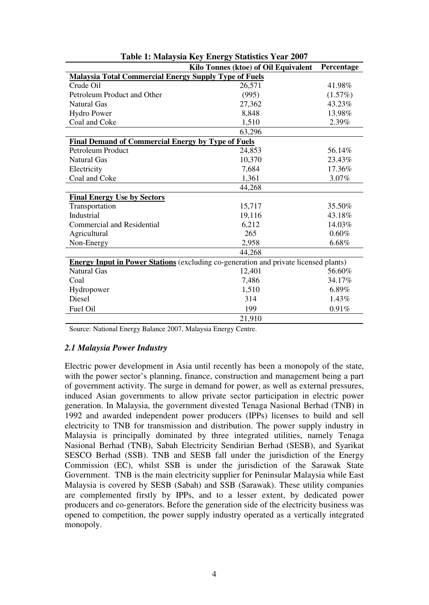|                                                                                             | Kilo Tonnes (ktoe) of Oil Equivalent | Percentage |  |  |
|---------------------------------------------------------------------------------------------|--------------------------------------|------------|--|--|
| <b>Malaysia Total Commercial Energy Supply Type of Fuels</b>                                |                                      |            |  |  |
| Crude Oil                                                                                   | 26,571                               | 41.98%     |  |  |
| Petroleum Product and Other                                                                 | (995)                                | (1.57%)    |  |  |
| <b>Natural Gas</b>                                                                          | 27,362                               | 43.23%     |  |  |
| <b>Hydro Power</b>                                                                          | 8,848                                | 13.98%     |  |  |
| Coal and Coke                                                                               | 1,510                                | 2.39%      |  |  |
|                                                                                             | 63,296                               |            |  |  |
| <b>Final Demand of Commercial Energy by Type of Fuels</b>                                   |                                      |            |  |  |
| <b>Petroleum Product</b>                                                                    | 24,853                               | 56.14%     |  |  |
| <b>Natural Gas</b>                                                                          | 10,370                               | 23.43%     |  |  |
| Electricity                                                                                 | 7,684                                | 17.36%     |  |  |
| Coal and Coke                                                                               | 1,361                                | 3.07%      |  |  |
|                                                                                             | 44,268                               |            |  |  |
| <b>Final Energy Use by Sectors</b>                                                          |                                      |            |  |  |
| Transportation                                                                              | 15,717                               | 35.50%     |  |  |
| Industrial                                                                                  | 19,116                               | 43.18%     |  |  |
| <b>Commercial and Residential</b>                                                           | 6,212                                | 14.03%     |  |  |
| Agricultural                                                                                | 265                                  | 0.60%      |  |  |
| Non-Energy                                                                                  | 2,958                                | 6.68%      |  |  |
|                                                                                             | 44,268                               |            |  |  |
| <b>Energy Input in Power Stations</b> (excluding co-generation and private licensed plants) |                                      |            |  |  |
| <b>Natural Gas</b>                                                                          | 12,401                               | 56.60%     |  |  |
| Coal                                                                                        | 7,486                                | 34.17%     |  |  |
| Hydropower                                                                                  | 1,510                                | 6.89%      |  |  |
| Diesel                                                                                      | 314                                  | 1.43%      |  |  |
| Fuel Oil                                                                                    | 199                                  | 0.91%      |  |  |
|                                                                                             | 21,910                               |            |  |  |

Source: National Energy Balance 2007, Malaysia Energy Centre.

### *2.1 Malaysia Power Industry*

Electric power development in Asia until recently has been a monopoly of the state, with the power sector's planning, finance, construction and management being a part of government activity. The surge in demand for power, as well as external pressures, induced Asian governments to allow private sector participation in electric power generation. In Malaysia, the government divested Tenaga Nasional Berhad (TNB) in 1992 and awarded independent power producers (IPPs) licenses to build and sell electricity to TNB for transmission and distribution. The power supply industry in Malaysia is principally dominated by three integrated utilities, namely Tenaga Nasional Berhad (TNB), Sabah Electricity Sendirian Berhad (SESB), and Syarikat SESCO Berhad (SSB). TNB and SESB fall under the jurisdiction of the Energy Commission (EC), whilst SSB is under the jurisdiction of the Sarawak State Government. TNB is the main electricity supplier for Peninsular Malaysia while East Malaysia is covered by SESB (Sabah) and SSB (Sarawak). These utility companies are complemented firstly by IPPs, and to a lesser extent, by dedicated power producers and co-generators. Before the generation side of the electricity business was opened to competition, the power supply industry operated as a vertically integrated monopoly.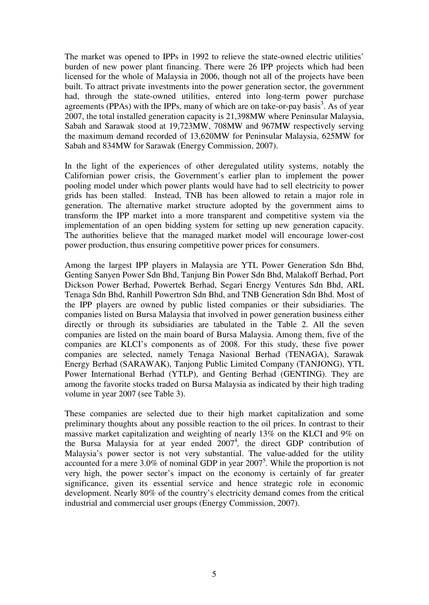The market was opened to IPPs in 1992 to relieve the state-owned electric utilities' burden of new power plant financing. There were 26 IPP projects which had been licensed for the whole of Malaysia in 2006, though not all of the projects have been built. To attract private investments into the power generation sector, the government had, through the state-owned utilities, entered into long-term power purchase agreements (PPAs) with the IPPs, many of which are on take-or-pay basis<sup>3</sup>. As of year 2007, the total installed generation capacity is 21,398MW where Peninsular Malaysia, Sabah and Sarawak stood at 19,723MW, 708MW and 967MW respectively serving the maximum demand recorded of 13,620MW for Peninsular Malaysia, 625MW for Sabah and 834MW for Sarawak (Energy Commission, 2007).

In the light of the experiences of other deregulated utility systems, notably the Californian power crisis, the Government's earlier plan to implement the power pooling model under which power plants would have had to sell electricity to power grids has been stalled. Instead, TNB has been allowed to retain a major role in generation. The alternative market structure adopted by the government aims to transform the IPP market into a more transparent and competitive system via the implementation of an open bidding system for setting up new generation capacity. The authorities believe that the managed market model will encourage lower-cost power production, thus ensuring competitive power prices for consumers.

Among the largest IPP players in Malaysia are YTL Power Generation Sdn Bhd, Genting Sanyen Power Sdn Bhd, Tanjung Bin Power Sdn Bhd, Malakoff Berhad, Port Dickson Power Berhad, Powertek Berhad, Segari Energy Ventures Sdn Bhd, ARL Tenaga Sdn Bhd, Ranhill Powertron Sdn Bhd, and TNB Generation Sdn Bhd. Most of the IPP players are owned by public listed companies or their subsidiaries. The companies listed on Bursa Malaysia that involved in power generation business either directly or through its subsidiaries are tabulated in the Table 2. All the seven companies are listed on the main board of Bursa Malaysia. Among them, five of the companies are KLCI's components as of 2008. For this study, these five power companies are selected, namely Tenaga Nasional Berhad (TENAGA), Sarawak Energy Berhad (SARAWAK), Tanjong Public Limited Company (TANJONG), YTL Power International Berhad (YTLP), and Genting Berhad (GENTING). They are among the favorite stocks traded on Bursa Malaysia as indicated by their high trading volume in year 2007 (see Table 3).

These companies are selected due to their high market capitalization and some preliminary thoughts about any possible reaction to the oil prices. In contrast to their massive market capitalization and weighting of nearly 13% on the KLCI and 9% on the Bursa Malaysia for at year ended 2007<sup>4</sup>, the direct GDP contribution of Malaysia's power sector is not very substantial. The value-added for the utility accounted for a mere 3.0% of nominal GDP in year 2007<sup>5</sup>. While the proportion is not very high, the power sector's impact on the economy is certainly of far greater significance, given its essential service and hence strategic role in economic development. Nearly 80% of the country's electricity demand comes from the critical industrial and commercial user groups (Energy Commission, 2007).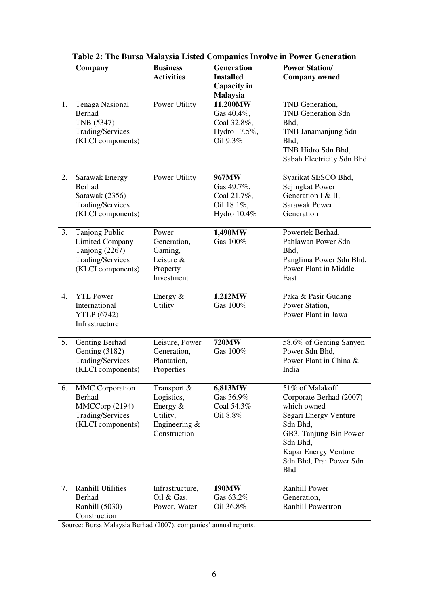|    | Company                                                                                                    | <b>Business</b><br><b>Activities</b>                                                    | <b>Generation</b><br><b>Installed</b><br>Capacity in                                 | галс 2. тис ратяа маагузіа пізіса сопіранся нітогус ні гомет оснеганон<br><b>Power Station/</b><br><b>Company owned</b>                                                                               |
|----|------------------------------------------------------------------------------------------------------------|-----------------------------------------------------------------------------------------|--------------------------------------------------------------------------------------|-------------------------------------------------------------------------------------------------------------------------------------------------------------------------------------------------------|
| 1. | <b>Tenaga Nasional</b><br><b>Berhad</b><br>TNB (5347)<br>Trading/Services<br>(KLCI components)             | Power Utility                                                                           | <b>Malaysia</b><br>11,200MW<br>Gas 40.4%,<br>Coal 32.8%,<br>Hydro 17.5%,<br>Oil 9.3% | TNB Generation,<br><b>TNB</b> Generation Sdn<br>Bhd,<br>TNB Janamanjung Sdn<br>Bhd,<br>TNB Hidro Sdn Bhd,<br>Sabah Electricity Sdn Bhd                                                                |
| 2. | Sarawak Energy<br><b>Berhad</b><br>Sarawak (2356)<br>Trading/Services<br>(KLCI components)                 | Power Utility                                                                           | 967MW<br>Gas 49.7%,<br>Coal 21.7%,<br>Oil 18.1%,<br>Hydro 10.4%                      | Syarikat SESCO Bhd,<br>Sejingkat Power<br>Generation I & II,<br><b>Sarawak Power</b><br>Generation                                                                                                    |
| 3. | <b>Tanjong Public</b><br><b>Limited Company</b><br>Tanjong (2267)<br>Trading/Services<br>(KLCI components) | Power<br>Generation,<br>Gaming,<br>Leisure $&$<br>Property<br>Investment                | 1,490MW<br>Gas 100%                                                                  | Powertek Berhad,<br>Pahlawan Power Sdn<br>Bhd.<br>Panglima Power Sdn Bhd,<br>Power Plant in Middle<br>East                                                                                            |
| 4. | <b>YTL Power</b><br>International<br><b>YTLP</b> (6742)<br>Infrastructure                                  | Energy $&$<br><b>Utility</b>                                                            | 1,212MW<br>Gas 100%                                                                  | Paka & Pasir Gudang<br>Power Station,<br>Power Plant in Jawa                                                                                                                                          |
| 5. | Genting Berhad<br>Genting (3182)<br>Trading/Services<br>(KLCI components)                                  | Leisure, Power<br>Generation,<br>Plantation,<br>Properties                              | <b>720MW</b><br>Gas 100%                                                             | 58.6% of Genting Sanyen<br>Power Sdn Bhd,<br>Power Plant in China &<br>India                                                                                                                          |
| 6. | <b>MMC</b> Corporation<br>Berhad<br>MMCCorp (2194)<br>Trading/Services<br>(KLCI components)                | Transport &<br>Logistics,<br>Energy $&$<br>Utility,<br>Engineering $\&$<br>Construction | 6,813MW<br>Gas 36.9%<br>Coal 54.3%<br>Oil 8.8%                                       | 51% of Malakoff<br>Corporate Berhad (2007)<br>which owned<br>Segari Energy Venture<br>Sdn Bhd,<br>GB3, Tanjung Bin Power<br>Sdn Bhd,<br>Kapar Energy Venture<br>Sdn Bhd, Prai Power Sdn<br><b>Bhd</b> |
| 7. | <b>Ranhill Utilities</b><br>Berhad<br>Ranhill (5030)<br>Construction                                       | Infrastructure,<br>Oil & Gas,<br>Power, Water                                           | <b>190MW</b><br>Gas 63.2%<br>Oil 36.8%                                               | <b>Ranhill Power</b><br>Generation,<br><b>Ranhill Powertron</b>                                                                                                                                       |

|  |  |  |  | Table 2: The Bursa Malaysia Listed Companies Involve in Power Generation |
|--|--|--|--|--------------------------------------------------------------------------|
|--|--|--|--|--------------------------------------------------------------------------|

Source: Bursa Malaysia Berhad (2007), companies' annual reports.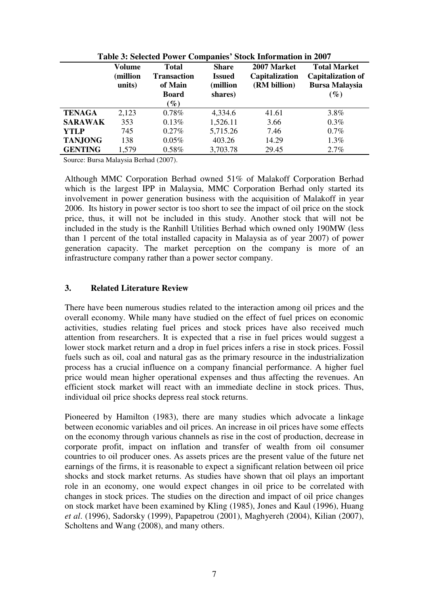| Table 3: Selected Power Companies' Stock Information in 2007 |                              |                                                   |                                           |                                               |                                                                          |
|--------------------------------------------------------------|------------------------------|---------------------------------------------------|-------------------------------------------|-----------------------------------------------|--------------------------------------------------------------------------|
|                                                              | Volume<br>(million<br>units) | <b>Total</b><br>Transaction<br>of Main            | <b>Share</b><br><b>Issued</b><br>million) | 2007 Market<br>Capitalization<br>(RM billion) | <b>Total Market</b><br><b>Capitalization of</b><br><b>Bursa Malaysia</b> |
|                                                              |                              | <b>Board</b><br>$\mathscr{G}_{\boldsymbol{\ell}}$ | shares)                                   |                                               | $(\%)$                                                                   |
| <b>TENAGA</b>                                                | 2,123                        | $0.78\%$                                          | 4,334.6                                   | 41.61                                         | 3.8%                                                                     |
| <b>SARAWAK</b>                                               | 353                          | 0.13%                                             | 1,526.11                                  | 3.66                                          | $0.3\%$                                                                  |
| <b>YTLP</b>                                                  | 745                          | $0.27\%$                                          | 5,715.26                                  | 7.46                                          | 0.7%                                                                     |
| <b>TANJONG</b>                                               | 138                          | $0.05\%$                                          | 403.26                                    | 14.29                                         | $1.3\%$                                                                  |
| <b>GENTING</b>                                               | 1,579                        | $0.58\%$                                          | 3,703.78                                  | 29.45                                         | 2.7%                                                                     |

**Table 3: Selected Power Companies' Stock Information in 2007** 

Source: Bursa Malaysia Berhad (2007).

Although MMC Corporation Berhad owned 51% of Malakoff Corporation Berhad which is the largest IPP in Malaysia, MMC Corporation Berhad only started its involvement in power generation business with the acquisition of Malakoff in year 2006. Its history in power sector is too short to see the impact of oil price on the stock price, thus, it will not be included in this study. Another stock that will not be included in the study is the Ranhill Utilities Berhad which owned only 190MW (less than 1 percent of the total installed capacity in Malaysia as of year 2007) of power generation capacity. The market perception on the company is more of an infrastructure company rather than a power sector company.

### **3. Related Literature Review**

There have been numerous studies related to the interaction among oil prices and the overall economy. While many have studied on the effect of fuel prices on economic activities, studies relating fuel prices and stock prices have also received much attention from researchers. It is expected that a rise in fuel prices would suggest a lower stock market return and a drop in fuel prices infers a rise in stock prices. Fossil fuels such as oil, coal and natural gas as the primary resource in the industrialization process has a crucial influence on a company financial performance. A higher fuel price would mean higher operational expenses and thus affecting the revenues. An efficient stock market will react with an immediate decline in stock prices. Thus, individual oil price shocks depress real stock returns.

Pioneered by Hamilton (1983), there are many studies which advocate a linkage between economic variables and oil prices. An increase in oil prices have some effects on the economy through various channels as rise in the cost of production, decrease in corporate profit, impact on inflation and transfer of wealth from oil consumer countries to oil producer ones. As assets prices are the present value of the future net earnings of the firms, it is reasonable to expect a significant relation between oil price shocks and stock market returns. As studies have shown that oil plays an important role in an economy, one would expect changes in oil price to be correlated with changes in stock prices. The studies on the direction and impact of oil price changes on stock market have been examined by Kling (1985), Jones and Kaul (1996), Huang *et al*. (1996), Sadorsky (1999), Papapetrou (2001), Maghyereh (2004), Kilian (2007), Scholtens and Wang (2008), and many others.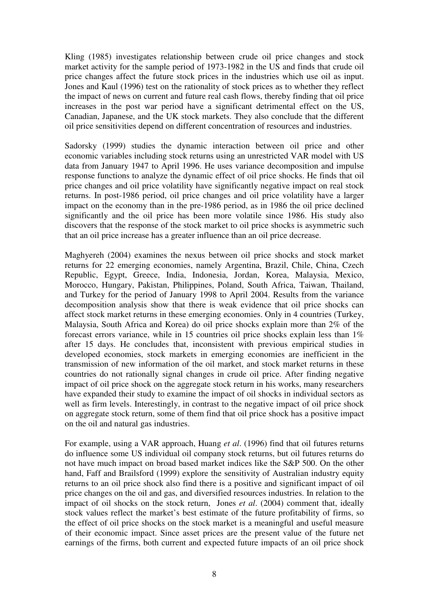Kling (1985) investigates relationship between crude oil price changes and stock market activity for the sample period of 1973-1982 in the US and finds that crude oil price changes affect the future stock prices in the industries which use oil as input. Jones and Kaul (1996) test on the rationality of stock prices as to whether they reflect the impact of news on current and future real cash flows, thereby finding that oil price increases in the post war period have a significant detrimental effect on the US, Canadian, Japanese, and the UK stock markets. They also conclude that the different oil price sensitivities depend on different concentration of resources and industries.

Sadorsky (1999) studies the dynamic interaction between oil price and other economic variables including stock returns using an unrestricted VAR model with US data from January 1947 to April 1996. He uses variance decomposition and impulse response functions to analyze the dynamic effect of oil price shocks. He finds that oil price changes and oil price volatility have significantly negative impact on real stock returns. In post-1986 period, oil price changes and oil price volatility have a larger impact on the economy than in the pre-1986 period, as in 1986 the oil price declined significantly and the oil price has been more volatile since 1986. His study also discovers that the response of the stock market to oil price shocks is asymmetric such that an oil price increase has a greater influence than an oil price decrease.

Maghyereh (2004) examines the nexus between oil price shocks and stock market returns for 22 emerging economies, namely Argentina, Brazil, Chile, China, Czech Republic, Egypt, Greece, India, Indonesia, Jordan, Korea, Malaysia, Mexico, Morocco, Hungary, Pakistan, Philippines, Poland, South Africa, Taiwan, Thailand, and Turkey for the period of January 1998 to April 2004. Results from the variance decomposition analysis show that there is weak evidence that oil price shocks can affect stock market returns in these emerging economies. Only in 4 countries (Turkey, Malaysia, South Africa and Korea) do oil price shocks explain more than 2% of the forecast errors variance, while in 15 countries oil price shocks explain less than 1% after 15 days. He concludes that, inconsistent with previous empirical studies in developed economies, stock markets in emerging economies are inefficient in the transmission of new information of the oil market, and stock market returns in these countries do not rationally signal changes in crude oil price. After finding negative impact of oil price shock on the aggregate stock return in his works, many researchers have expanded their study to examine the impact of oil shocks in individual sectors as well as firm levels. Interestingly, in contrast to the negative impact of oil price shock on aggregate stock return, some of them find that oil price shock has a positive impact on the oil and natural gas industries.

For example, using a VAR approach, Huang *et al*. (1996) find that oil futures returns do influence some US individual oil company stock returns, but oil futures returns do not have much impact on broad based market indices like the S&P 500. On the other hand, Faff and Brailsford (1999) explore the sensitivity of Australian industry equity returns to an oil price shock also find there is a positive and significant impact of oil price changes on the oil and gas, and diversified resources industries. In relation to the impact of oil shocks on the stock return, Jones *et al*. (2004) comment that, ideally stock values reflect the market's best estimate of the future profitability of firms, so the effect of oil price shocks on the stock market is a meaningful and useful measure of their economic impact. Since asset prices are the present value of the future net earnings of the firms, both current and expected future impacts of an oil price shock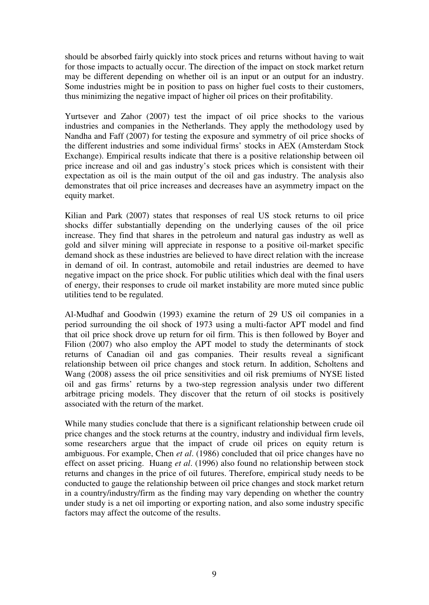should be absorbed fairly quickly into stock prices and returns without having to wait for those impacts to actually occur. The direction of the impact on stock market return may be different depending on whether oil is an input or an output for an industry. Some industries might be in position to pass on higher fuel costs to their customers, thus minimizing the negative impact of higher oil prices on their profitability.

Yurtsever and Zahor (2007) test the impact of oil price shocks to the various industries and companies in the Netherlands. They apply the methodology used by Nandha and Faff (2007) for testing the exposure and symmetry of oil price shocks of the different industries and some individual firms' stocks in AEX (Amsterdam Stock Exchange). Empirical results indicate that there is a positive relationship between oil price increase and oil and gas industry's stock prices which is consistent with their expectation as oil is the main output of the oil and gas industry. The analysis also demonstrates that oil price increases and decreases have an asymmetry impact on the equity market.

Kilian and Park (2007) states that responses of real US stock returns to oil price shocks differ substantially depending on the underlying causes of the oil price increase. They find that shares in the petroleum and natural gas industry as well as gold and silver mining will appreciate in response to a positive oil-market specific demand shock as these industries are believed to have direct relation with the increase in demand of oil. In contrast, automobile and retail industries are deemed to have negative impact on the price shock. For public utilities which deal with the final users of energy, their responses to crude oil market instability are more muted since public utilities tend to be regulated.

Al-Mudhaf and Goodwin (1993) examine the return of 29 US oil companies in a period surrounding the oil shock of 1973 using a multi-factor APT model and find that oil price shock drove up return for oil firm. This is then followed by Boyer and Filion (2007) who also employ the APT model to study the determinants of stock returns of Canadian oil and gas companies. Their results reveal a significant relationship between oil price changes and stock return. In addition, Scholtens and Wang (2008) assess the oil price sensitivities and oil risk premiums of NYSE listed oil and gas firms' returns by a two-step regression analysis under two different arbitrage pricing models. They discover that the return of oil stocks is positively associated with the return of the market.

While many studies conclude that there is a significant relationship between crude oil price changes and the stock returns at the country, industry and individual firm levels, some researchers argue that the impact of crude oil prices on equity return is ambiguous. For example, Chen *et al*. (1986) concluded that oil price changes have no effect on asset pricing. Huang *et al*. (1996) also found no relationship between stock returns and changes in the price of oil futures. Therefore, empirical study needs to be conducted to gauge the relationship between oil price changes and stock market return in a country/industry/firm as the finding may vary depending on whether the country under study is a net oil importing or exporting nation, and also some industry specific factors may affect the outcome of the results.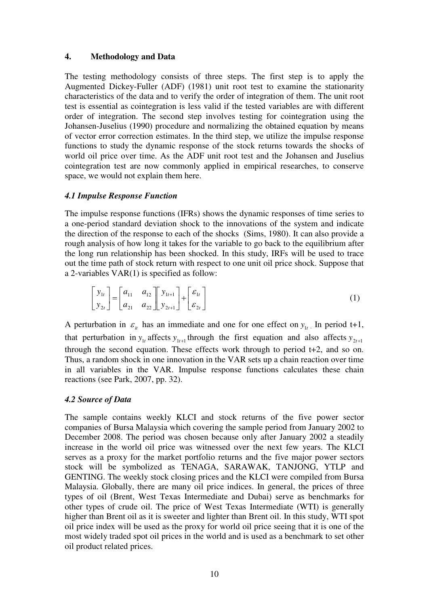## **4. Methodology and Data**

The testing methodology consists of three steps. The first step is to apply the Augmented Dickey-Fuller (ADF) (1981) unit root test to examine the stationarity characteristics of the data and to verify the order of integration of them. The unit root test is essential as cointegration is less valid if the tested variables are with different order of integration. The second step involves testing for cointegration using the Johansen-Juselius (1990) procedure and normalizing the obtained equation by means of vector error correction estimates. In the third step, we utilize the impulse response functions to study the dynamic response of the stock returns towards the shocks of world oil price over time. As the ADF unit root test and the Johansen and Juselius cointegration test are now commonly applied in empirical researches, to conserve space, we would not explain them here.

## *4.1 Impulse Response Function*

The impulse response functions (IFRs) shows the dynamic responses of time series to a one-period standard deviation shock to the innovations of the system and indicate the direction of the response to each of the shocks (Sims, 1980). It can also provide a rough analysis of how long it takes for the variable to go back to the equilibrium after the long run relationship has been shocked. In this study, IRFs will be used to trace out the time path of stock return with respect to one unit oil price shock. Suppose that a 2-variables VAR(1) is specified as follow:

$$
\begin{bmatrix} y_{1t} \\ y_{2t} \end{bmatrix} = \begin{bmatrix} a_{11} & a_{12} \\ a_{21} & a_{22} \end{bmatrix} \begin{bmatrix} y_{1t+1} \\ y_{2t+1} \end{bmatrix} + \begin{bmatrix} \varepsilon_{1t} \\ \varepsilon_{2t} \end{bmatrix}
$$
 (1)

A perturbation in  $\varepsilon_{it}$  has an immediate and one for one effect on  $y_{1t}$ . In period t+1, that perturbation in  $y_{1t}$  affects  $y_{1t+1}$  through the first equation and also affects  $y_{2t+1}$ through the second equation. These effects work through to period t+2, and so on. Thus, a random shock in one innovation in the VAR sets up a chain reaction over time in all variables in the VAR. Impulse response functions calculates these chain reactions (see Park, 2007, pp. 32).

# *4.2 Source of Data*

The sample contains weekly KLCI and stock returns of the five power sector companies of Bursa Malaysia which covering the sample period from January 2002 to December 2008. The period was chosen because only after January 2002 a steadily increase in the world oil price was witnessed over the next few years. The KLCI serves as a proxy for the market portfolio returns and the five major power sectors stock will be symbolized as TENAGA, SARAWAK, TANJONG, YTLP and GENTING. The weekly stock closing prices and the KLCI were compiled from Bursa Malaysia. Globally, there are many oil price indices. In general, the prices of three types of oil (Brent, West Texas Intermediate and Dubai) serve as benchmarks for other types of crude oil. The price of West Texas Intermediate (WTI) is generally higher than Brent oil as it is sweeter and lighter than Brent oil. In this study, WTI spot oil price index will be used as the proxy for world oil price seeing that it is one of the most widely traded spot oil prices in the world and is used as a benchmark to set other oil product related prices.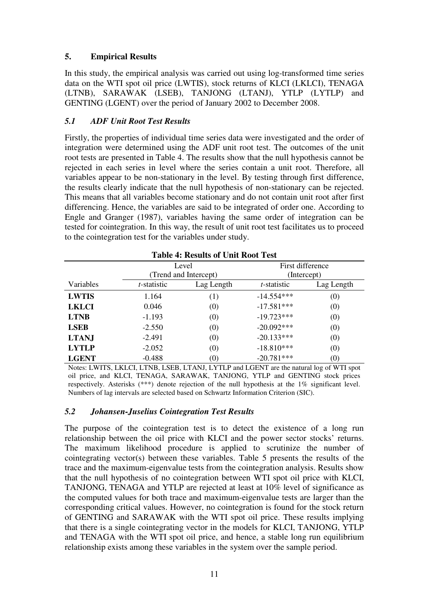# **5. Empirical Results**

In this study, the empirical analysis was carried out using log-transformed time series data on the WTI spot oil price (LWTIS), stock returns of KLCI (LKLCI), TENAGA (LTNB), SARAWAK (LSEB), TANJONG (LTANJ), YTLP (LYTLP) and GENTING (LGENT) over the period of January 2002 to December 2008.

# *5.1 ADF Unit Root Test Results*

Firstly, the properties of individual time series data were investigated and the order of integration were determined using the ADF unit root test. The outcomes of the unit root tests are presented in Table 4. The results show that the null hypothesis cannot be rejected in each series in level where the series contain a unit root. Therefore, all variables appear to be non-stationary in the level. By testing through first difference, the results clearly indicate that the null hypothesis of non-stationary can be rejected. This means that all variables become stationary and do not contain unit root after first differencing. Hence, the variables are said to be integrated of order one. According to Engle and Granger (1987), variables having the same order of integration can be tested for cointegration. In this way, the result of unit root test facilitates us to proceed to the cointegration test for the variables under study.

| <b>Table 4: Results of Unit Root Test</b> |                     |                       |                     |                   |
|-------------------------------------------|---------------------|-----------------------|---------------------|-------------------|
|                                           |                     | Level                 |                     | First difference  |
|                                           |                     | (Trend and Intercept) |                     | (Intercept)       |
| Variables                                 | <i>t</i> -statistic | Lag Length            | <i>t</i> -statistic | Lag Length        |
| <b>LWTIS</b>                              | 1.164               | (1)                   | $-14.554***$        | (0)               |
| <b>LKLCI</b>                              | 0.046               | (0)                   | $-17.581***$        | (0)               |
| <b>LTNB</b>                               | $-1.193$            | (0)                   | $-19.723***$        | (0)               |
| <b>LSEB</b>                               | $-2.550$            | (0)                   | $-20.092***$        | (0)               |
| <b>LTANJ</b>                              | $-2.491$            | (0)                   | $-20.133***$        | (0)               |
| <b>LYTLP</b>                              | $-2.052$            | (0)                   | $-18.810***$        | (0)               |
| <b>LGENT</b>                              | $-0.488$            | $\left( 0\right)$     | $-20.781***$        | $\left( 0\right)$ |

Notes: LWITS, LKLCI, LTNB, LSEB, LTANJ, LYTLP and LGENT are the natural log of WTI spot oil price, and KLCI, TENAGA, SARAWAK, TANJONG, YTLP and GENTING stock prices respectively. Asterisks (\*\*\*) denote rejection of the null hypothesis at the 1% significant level. Numbers of lag intervals are selected based on Schwartz Information Criterion (SIC).

# *5.2 Johansen-Juselius Cointegration Test Results*

The purpose of the cointegration test is to detect the existence of a long run relationship between the oil price with KLCI and the power sector stocks' returns. The maximum likelihood procedure is applied to scrutinize the number of cointegrating vector(s) between these variables. Table 5 presents the results of the trace and the maximum-eigenvalue tests from the cointegration analysis. Results show that the null hypothesis of no cointegration between WTI spot oil price with KLCI, TANJONG, TENAGA and YTLP are rejected at least at 10% level of significance as the computed values for both trace and maximum-eigenvalue tests are larger than the corresponding critical values. However, no cointegration is found for the stock return of GENTING and SARAWAK with the WTI spot oil price. These results implying that there is a single cointegrating vector in the models for KLCI, TANJONG, YTLP and TENAGA with the WTI spot oil price, and hence, a stable long run equilibrium relationship exists among these variables in the system over the sample period.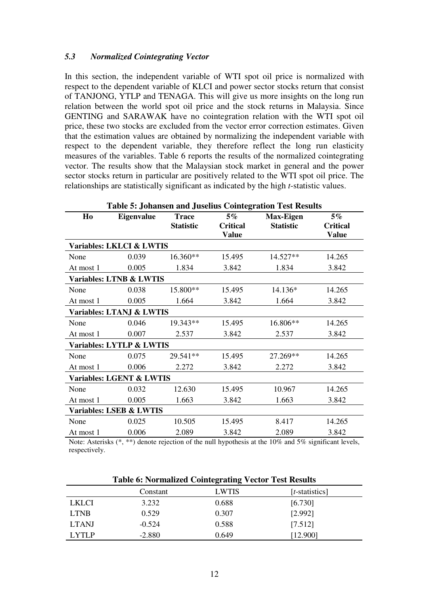### *5.3 Normalized Cointegrating Vector*

In this section, the independent variable of WTI spot oil price is normalized with respect to the dependent variable of KLCI and power sector stocks return that consist of TANJONG, YTLP and TENAGA. This will give us more insights on the long run relation between the world spot oil price and the stock returns in Malaysia. Since GENTING and SARAWAK have no cointegration relation with the WTI spot oil price, these two stocks are excluded from the vector error correction estimates. Given that the estimation values are obtained by normalizing the independent variable with respect to the dependent variable, they therefore reflect the long run elasticity measures of the variables. Table 6 reports the results of the normalized cointegrating vector. The results show that the Malaysian stock market in general and the power sector stocks return in particular are positively related to the WTI spot oil price. The relationships are statistically significant as indicated by the high *t*-statistic values.

| <b>Table 5: Johansen and Juselius Cointegration Test Results</b> |                                     |                                  |                                          |                                      |                                   |
|------------------------------------------------------------------|-------------------------------------|----------------------------------|------------------------------------------|--------------------------------------|-----------------------------------|
| H <sub>0</sub>                                                   | <b>Eigenvalue</b>                   | <b>Trace</b><br><b>Statistic</b> | $5\%$<br><b>Critical</b><br><b>Value</b> | <b>Max-Eigen</b><br><b>Statistic</b> | $5\%$<br><b>Critical</b><br>Value |
|                                                                  | Variables: LKLCI & LWTIS            |                                  |                                          |                                      |                                   |
| None                                                             | 0.039                               | 16.360**                         | 15.495                                   | 14.527**                             | 14.265                            |
| At most 1                                                        | 0.005                               | 1.834                            | 3.842                                    | 1.834                                | 3.842                             |
|                                                                  | <b>Variables: LTNB &amp; LWTIS</b>  |                                  |                                          |                                      |                                   |
| None                                                             | 0.038                               | 15.800**                         | 15.495                                   | 14.136*                              | 14.265                            |
| At most 1                                                        | 0.005                               | 1.664                            | 3.842                                    | 1.664                                | 3.842                             |
|                                                                  | Variables: LTANJ & LWTIS            |                                  |                                          |                                      |                                   |
| None                                                             | 0.046                               | 19.343**                         | 15.495                                   | 16.806**                             | 14.265                            |
| At most 1                                                        | 0.007                               | 2.537                            | 3.842                                    | 2.537                                | 3.842                             |
|                                                                  | Variables: LYTLP & LWTIS            |                                  |                                          |                                      |                                   |
| None                                                             | 0.075                               | 29.541**                         | 15.495                                   | 27.269**                             | 14.265                            |
| At most 1                                                        | 0.006                               | 2.272                            | 3.842                                    | 2.272                                | 3.842                             |
|                                                                  | <b>Variables: LGENT &amp; LWTIS</b> |                                  |                                          |                                      |                                   |
| None                                                             | 0.032                               | 12.630                           | 15.495                                   | 10.967                               | 14.265                            |
| At most 1                                                        | 0.005                               | 1.663                            | 3.842                                    | 1.663                                | 3.842                             |
|                                                                  | <b>Variables: LSEB &amp; LWTIS</b>  |                                  |                                          |                                      |                                   |
| None                                                             | 0.025                               | 10.505                           | 15.495                                   | 8.417                                | 14.265                            |
| At most 1                                                        | 0.006                               | 2.089                            | 3.842                                    | 2.089                                | 3.842                             |

Note: Asterisks (\*, \*\*) denote rejection of the null hypothesis at the 10% and 5% significant levels, respectively.

|              | <b>Table 6: Normalized Cointegrating Vector Test Results</b> |              |                |  |
|--------------|--------------------------------------------------------------|--------------|----------------|--|
|              | Constant                                                     | <b>LWTIS</b> | [t-statistics] |  |
| <b>LKLCI</b> | 3.232                                                        | 0.688        | [6.730]        |  |
| <b>LTNB</b>  | 0.529                                                        | 0.307        | [2.992]        |  |
| <b>LTANJ</b> | $-0.524$                                                     | 0.588        | [7.512]        |  |
| <b>LYTLP</b> | $-2.880$                                                     | 0.649        | [12.900]       |  |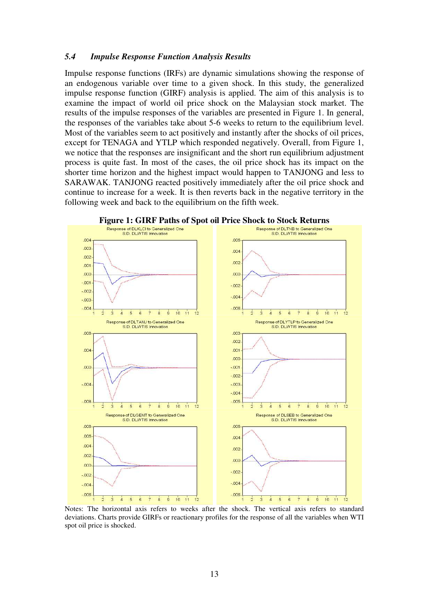#### *5.4 Impulse Response Function Analysis Results*

Impulse response functions (IRFs) are dynamic simulations showing the response of an endogenous variable over time to a given shock. In this study, the generalized impulse response function (GIRF) analysis is applied. The aim of this analysis is to examine the impact of world oil price shock on the Malaysian stock market. The results of the impulse responses of the variables are presented in Figure 1. In general, the responses of the variables take about 5-6 weeks to return to the equilibrium level. Most of the variables seem to act positively and instantly after the shocks of oil prices, except for TENAGA and YTLP which responded negatively. Overall, from Figure 1, we notice that the responses are insignificant and the short run equilibrium adjustment process is quite fast. In most of the cases, the oil price shock has its impact on the shorter time horizon and the highest impact would happen to TANJONG and less to SARAWAK. TANJONG reacted positively immediately after the oil price shock and continue to increase for a week. It is then reverts back in the negative territory in the following week and back to the equilibrium on the fifth week.



**Figure 1: GIRF Paths of Spot oil Price Shock to Stock Returns**<br>**Response of DLKLCI to Generalized One** 

Notes: The horizontal axis refers to weeks after the shock. The vertical axis refers to standard deviations. Charts provide GIRFs or reactionary profiles for the response of all the variables when WTI spot oil price is shocked.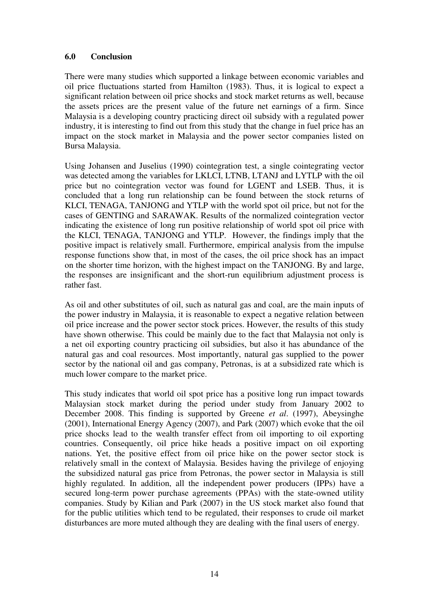## **6.0 Conclusion**

There were many studies which supported a linkage between economic variables and oil price fluctuations started from Hamilton (1983). Thus, it is logical to expect a significant relation between oil price shocks and stock market returns as well, because the assets prices are the present value of the future net earnings of a firm. Since Malaysia is a developing country practicing direct oil subsidy with a regulated power industry, it is interesting to find out from this study that the change in fuel price has an impact on the stock market in Malaysia and the power sector companies listed on Bursa Malaysia.

Using Johansen and Juselius (1990) cointegration test, a single cointegrating vector was detected among the variables for LKLCI, LTNB, LTANJ and LYTLP with the oil price but no cointegration vector was found for LGENT and LSEB. Thus, it is concluded that a long run relationship can be found between the stock returns of KLCI, TENAGA, TANJONG and YTLP with the world spot oil price, but not for the cases of GENTING and SARAWAK. Results of the normalized cointegration vector indicating the existence of long run positive relationship of world spot oil price with the KLCI, TENAGA, TANJONG and YTLP. However, the findings imply that the positive impact is relatively small. Furthermore, empirical analysis from the impulse response functions show that, in most of the cases, the oil price shock has an impact on the shorter time horizon, with the highest impact on the TANJONG. By and large, the responses are insignificant and the short-run equilibrium adjustment process is rather fast.

As oil and other substitutes of oil, such as natural gas and coal, are the main inputs of the power industry in Malaysia, it is reasonable to expect a negative relation between oil price increase and the power sector stock prices. However, the results of this study have shown otherwise. This could be mainly due to the fact that Malaysia not only is a net oil exporting country practicing oil subsidies, but also it has abundance of the natural gas and coal resources. Most importantly, natural gas supplied to the power sector by the national oil and gas company, Petronas, is at a subsidized rate which is much lower compare to the market price.

This study indicates that world oil spot price has a positive long run impact towards Malaysian stock market during the period under study from January 2002 to December 2008. This finding is supported by Greene *et al*. (1997), Abeysinghe (2001), International Energy Agency (2007), and Park (2007) which evoke that the oil price shocks lead to the wealth transfer effect from oil importing to oil exporting countries. Consequently, oil price hike heads a positive impact on oil exporting nations. Yet, the positive effect from oil price hike on the power sector stock is relatively small in the context of Malaysia. Besides having the privilege of enjoying the subsidized natural gas price from Petronas, the power sector in Malaysia is still highly regulated. In addition, all the independent power producers (IPPs) have a secured long-term power purchase agreements (PPAs) with the state-owned utility companies. Study by Kilian and Park (2007) in the US stock market also found that for the public utilities which tend to be regulated, their responses to crude oil market disturbances are more muted although they are dealing with the final users of energy.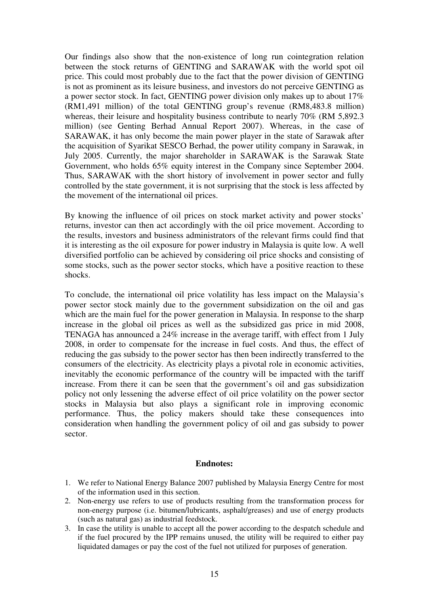Our findings also show that the non-existence of long run cointegration relation between the stock returns of GENTING and SARAWAK with the world spot oil price. This could most probably due to the fact that the power division of GENTING is not as prominent as its leisure business, and investors do not perceive GENTING as a power sector stock. In fact, GENTING power division only makes up to about 17% (RM1,491 million) of the total GENTING group's revenue (RM8,483.8 million) whereas, their leisure and hospitality business contribute to nearly 70% (RM 5,892.3) million) (see Genting Berhad Annual Report 2007). Whereas, in the case of SARAWAK, it has only become the main power player in the state of Sarawak after the acquisition of Syarikat SESCO Berhad, the power utility company in Sarawak, in July 2005. Currently, the major shareholder in SARAWAK is the Sarawak State Government, who holds 65% equity interest in the Company since September 2004. Thus, SARAWAK with the short history of involvement in power sector and fully controlled by the state government, it is not surprising that the stock is less affected by the movement of the international oil prices.

By knowing the influence of oil prices on stock market activity and power stocks' returns, investor can then act accordingly with the oil price movement. According to the results, investors and business administrators of the relevant firms could find that it is interesting as the oil exposure for power industry in Malaysia is quite low. A well diversified portfolio can be achieved by considering oil price shocks and consisting of some stocks, such as the power sector stocks, which have a positive reaction to these shocks.

To conclude, the international oil price volatility has less impact on the Malaysia's power sector stock mainly due to the government subsidization on the oil and gas which are the main fuel for the power generation in Malaysia. In response to the sharp increase in the global oil prices as well as the subsidized gas price in mid 2008, TENAGA has announced a 24% increase in the average tariff, with effect from 1 July 2008, in order to compensate for the increase in fuel costs. And thus, the effect of reducing the gas subsidy to the power sector has then been indirectly transferred to the consumers of the electricity. As electricity plays a pivotal role in economic activities, inevitably the economic performance of the country will be impacted with the tariff increase. From there it can be seen that the government's oil and gas subsidization policy not only lessening the adverse effect of oil price volatility on the power sector stocks in Malaysia but also plays a significant role in improving economic performance. Thus, the policy makers should take these consequences into consideration when handling the government policy of oil and gas subsidy to power sector.

#### **Endnotes:**

- 1. We refer to National Energy Balance 2007 published by Malaysia Energy Centre for most of the information used in this section.
- 2. Non-energy use refers to use of products resulting from the transformation process for non-energy purpose (i.e. bitumen/lubricants, asphalt/greases) and use of energy products (such as natural gas) as industrial feedstock.
- 3. In case the utility is unable to accept all the power according to the despatch schedule and if the fuel procured by the IPP remains unused, the utility will be required to either pay liquidated damages or pay the cost of the fuel not utilized for purposes of generation.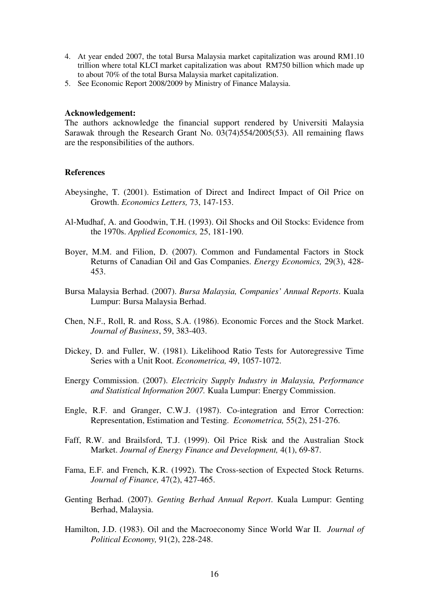- 4. At year ended 2007, the total Bursa Malaysia market capitalization was around RM1.10 trillion where total KLCI market capitalization was about RM750 billion which made up to about 70% of the total Bursa Malaysia market capitalization.
- 5. See Economic Report 2008/2009 by Ministry of Finance Malaysia.

#### **Acknowledgement:**

The authors acknowledge the financial support rendered by Universiti Malaysia Sarawak through the Research Grant No. 03(74)554/2005(53). All remaining flaws are the responsibilities of the authors.

#### **References**

- Abeysinghe, T. (2001). Estimation of Direct and Indirect Impact of Oil Price on Growth. *Economics Letters,* 73, 147-153.
- Al-Mudhaf, A. and Goodwin, T.H. (1993). Oil Shocks and Oil Stocks: Evidence from the 1970s. *Applied Economics,* 25, 181-190.
- Boyer, M.M. and Filion, D. (2007). Common and Fundamental Factors in Stock Returns of Canadian Oil and Gas Companies. *Energy Economics,* 29(3), 428- 453.
- Bursa Malaysia Berhad. (2007). *Bursa Malaysia, Companies' Annual Reports*. Kuala Lumpur: Bursa Malaysia Berhad.
- Chen, N.F., Roll, R. and Ross, S.A. (1986). Economic Forces and the Stock Market. *Journal of Business*, 59, 383-403.
- Dickey, D. and Fuller, W. (1981). Likelihood Ratio Tests for Autoregressive Time Series with a Unit Root. *Econometrica,* 49, 1057-1072.
- Energy Commission. (2007). *Electricity Supply Industry in Malaysia, Performance and Statistical Information 2007.* Kuala Lumpur: Energy Commission.
- Engle, R.F. and Granger, C.W.J. (1987). Co-integration and Error Correction: Representation, Estimation and Testing. *Econometrica,* 55(2), 251-276.
- Faff, R.W. and Brailsford, T.J. (1999). Oil Price Risk and the Australian Stock Market. *Journal of Energy Finance and Development,* 4(1), 69-87.
- Fama, E.F. and French, K.R. (1992). The Cross-section of Expected Stock Returns. *Journal of Finance,* 47(2), 427-465.
- Genting Berhad. (2007). *Genting Berhad Annual Report*. Kuala Lumpur: Genting Berhad, Malaysia.
- Hamilton, J.D. (1983). Oil and the Macroeconomy Since World War II. *Journal of Political Economy,* 91(2), 228-248.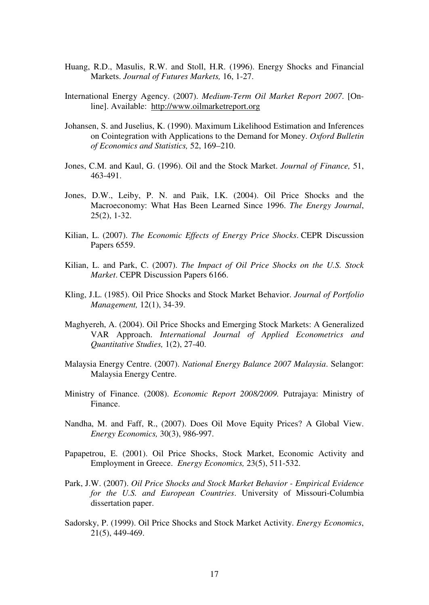- Huang, R.D., Masulis, R.W. and Stoll, H.R. (1996). Energy Shocks and Financial Markets. *Journal of Futures Markets,* 16, 1-27.
- International Energy Agency. (2007). *Medium-Term Oil Market Report 2007*. [Online]. Available: http://www.oilmarketreport.org
- Johansen, S. and Juselius, K. (1990). Maximum Likelihood Estimation and Inferences on Cointegration with Applications to the Demand for Money. *Oxford Bulletin of Economics and Statistics,* 52, 169–210.
- Jones, C.M. and Kaul, G. (1996). Oil and the Stock Market. *Journal of Finance,* 51, 463-491.
- Jones, D.W., Leiby, P. N. and Paik, I.K. (2004). Oil Price Shocks and the Macroeconomy: What Has Been Learned Since 1996. *The Energy Journal*, 25(2), 1-32.
- Kilian, L. (2007). *The Economic Effects of Energy Price Shocks*. CEPR Discussion Papers 6559.
- Kilian, L. and Park, C. (2007). *The Impact of Oil Price Shocks on the U.S. Stock Market*. CEPR Discussion Papers 6166.
- Kling, J.L. (1985). Oil Price Shocks and Stock Market Behavior. *Journal of Portfolio Management,* 12(1), 34-39.
- Maghyereh, A. (2004). Oil Price Shocks and Emerging Stock Markets: A Generalized VAR Approach. *International Journal of Applied Econometrics and Quantitative Studies,* 1(2), 27-40.
- Malaysia Energy Centre. (2007). *National Energy Balance 2007 Malaysia*. Selangor: Malaysia Energy Centre.
- Ministry of Finance. (2008). *Economic Report 2008/2009.* Putrajaya: Ministry of Finance.
- Nandha, M. and Faff, R., (2007). Does Oil Move Equity Prices? A Global View. *Energy Economics,* 30(3), 986-997.
- Papapetrou, E. (2001). Oil Price Shocks, Stock Market, Economic Activity and Employment in Greece. *Energy Economics,* 23(5), 511-532.
- Park, J.W. (2007). *Oil Price Shocks and Stock Market Behavior Empirical Evidence for the U.S. and European Countries*. University of Missouri-Columbia dissertation paper.
- Sadorsky, P. (1999). Oil Price Shocks and Stock Market Activity. *Energy Economics*, 21(5), 449-469.